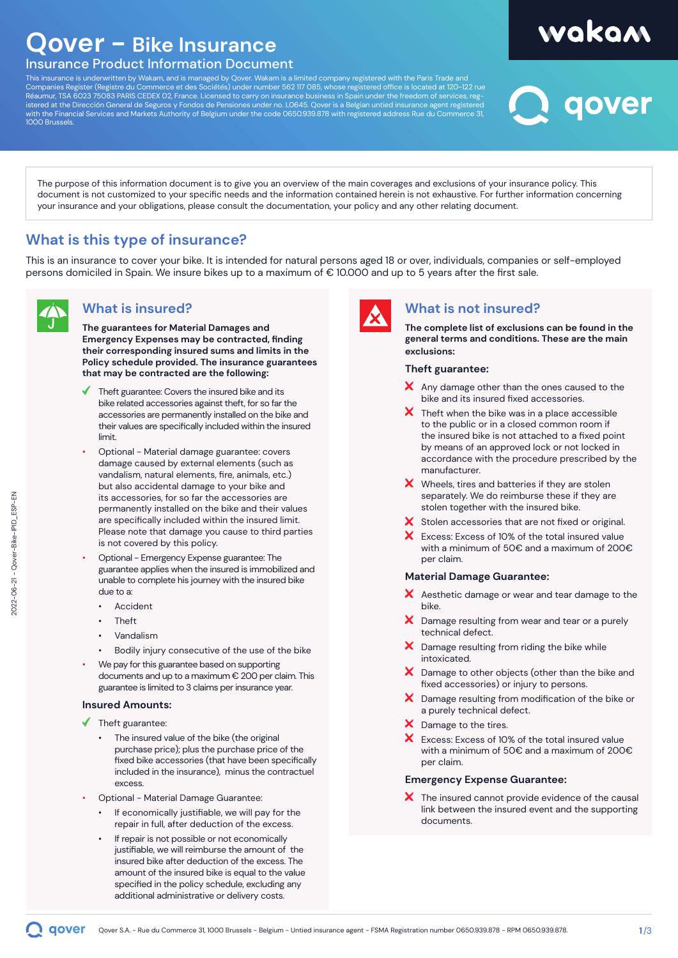# **Qover - Bike Insurance**

### Insurance Product Information Document

This insurance is underwritten by Wakam, and is managed by Qover. Wakam is a limited company registered with the Paris Trade and<br>Companies Register (Registre du Commerce et des Sociétés) under number 562 117 085, whose reg istered at the Dirección General de Seguros y Fondos de Pensiones under no. L0645. Qover is a Belgian untied insurance agent registered<br>with the Financial Services and Markets Authority of Belgium under the code 0650.939.8 1000 Brussels.

wakam<br>2011<br>2012 -

The purpose of this information document is to give you an overview of the main coverages and exclusions of your insurance policy. This document is not customized to your specific needs and the information contained herein is not exhaustive. For further information concerning your insurance and your obligations, please consult the documentation, your policy and any other relating document.

# **What is this type of insurance?**

This is an insurance to cover your bike. It is intended for natural persons aged 18 or over, individuals, companies or self-employed persons domiciled in Spain. We insure bikes up to a maximum of € 10.000 and up to 5 years after the first sale.



## **What is insured?**

**The guarantees for Material Damages and Emergency Expenses may be contracted, finding their corresponding insured sums and limits in the Policy schedule provided. The insurance guarantees that may be contracted are the following:**

- Theft guarantee: Covers the insured bike and its bike related accessories against theft, for so far the accessories are permanently installed on the bike and their values are specifically included within the insured limit.
- Optional Material damage guarantee: covers damage caused by external elements (such as vandalism, natural elements, fire, animals, etc.) but also accidental damage to your bike and its accessories, for so far the accessories are permanently installed on the bike and their values are specifically included within the insured limit. Please note that damage you cause to third parties is not covered by this policy.
- Optional Emergency Expense guarantee: The guarantee applies when the insured is immobilized and unable to complete his journey with the insured bike due to a:
	- **Accident**
	- Theft
	- Vandalism
	- Bodily injury consecutive of the use of the bike
- We pay for this guarantee based on supporting documents and up to a maximum € 200 per claim. This guarantee is limited to 3 claims per insurance year.

### **Insured Amounts:**

- $\blacklozenge$  Theft guarantee:
	- The insured value of the bike (the original purchase price); plus the purchase price of the fixed bike accessories (that have been specifically included in the insurance), minus the contractuel excess.
- Optional Material Damage Guarantee:
	- If economically justifiable, we will pay for the repair in full, after deduction of the excess.
	- If repair is not possible or not economically justifiable, we will reimburse the amount of the insured bike after deduction of the excess. The amount of the insured bike is equal to the value specified in the policy schedule, excluding any additional administrative or delivery costs.



## **What is not insured?**

**The complete list of exclusions can be found in the general terms and conditions. These are the main exclusions:**

### **Theft guarantee:**

- $\boldsymbol{\times}$  Any damage other than the ones caused to the bike and its insured fixed accessories.
- $\boldsymbol{\times}$  Theft when the bike was in a place accessible to the public or in a closed common room if the insured bike is not attached to a fixed point by means of an approved lock or not locked in accordance with the procedure prescribed by the manufacturer.
- $\boldsymbol{X}$  Wheels, tires and batteries if they are stolen separately. We do reimburse these if they are stolen together with the insured bike.
- $\boldsymbol{\times}$  Stolen accessories that are not fixed or original.
- X. Excess: Excess of 10% of the total insured value with a minimum of 50€ and a maximum of 200€ per claim.

### **Material Damage Guarantee:**

- $\boldsymbol{\times}$  Aesthetic damage or wear and tear damage to the bike.
- $\boldsymbol{\times}$  Damage resulting from wear and tear or a purely technical defect.
- $\boldsymbol{\times}$  Damage resulting from riding the bike while intoxicated.
- X Damage to other objects (other than the bike and fixed accessories) or injury to persons.
- X Damage resulting from modification of the bike or a purely technical defect.
- X Damage to the tires.
- X Excess: Excess of 10% of the total insured value with a minimum of 50€ and a maximum of 200€ per claim.

### **Emergency Expense Guarantee:**

 $\boldsymbol{X}$  The insured cannot provide evidence of the causal link between the insured event and the supporting documents.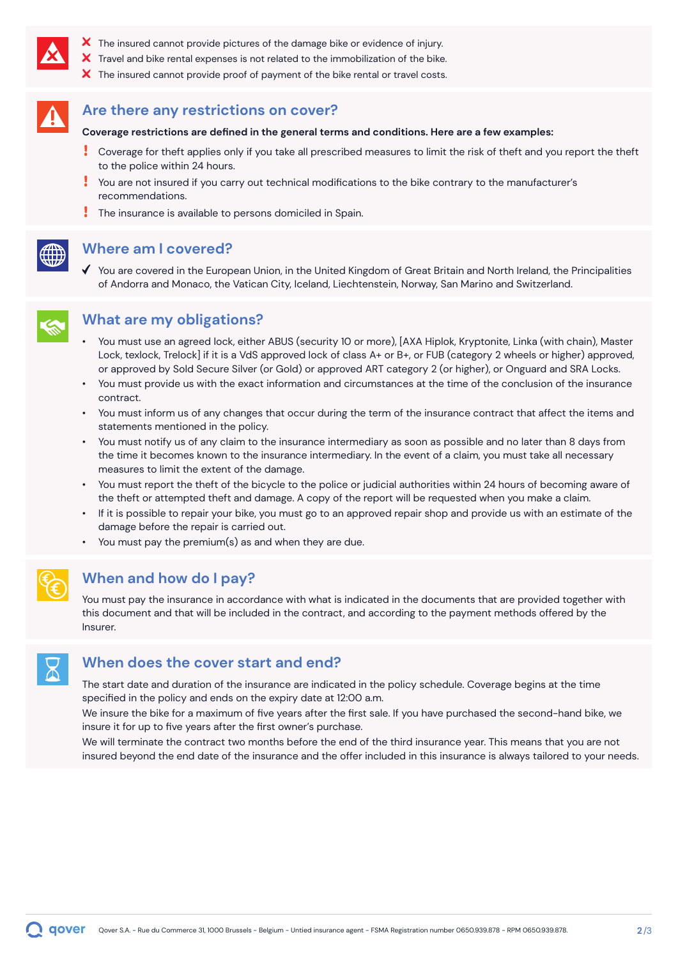

- X The insured cannot provide pictures of the damage bike or evidence of injury.
- $\bm{\times}$  Travel and bike rental expenses is not related to the immobilization of the bike.
- X The insured cannot provide proof of payment of the bike rental or travel costs.

### **Are there any restrictions on cover?**

### **Coverage restrictions are defined in the general terms and conditions. Here are a few examples:**

- Coverage for theft applies only if you take all prescribed measures to limit the risk of theft and you report the theft to the police within 24 hours.
- You are not insured if you carry out technical modifications to the bike contrary to the manufacturer's recommendations.
- The insurance is available to persons domiciled in Spain.



## **Where am I covered?**

 $\checkmark$  You are covered in the European Union, in the United Kingdom of Great Britain and North Ireland, the Principalities of Andorra and Monaco, the Vatican City, Iceland, Liechtenstein, Norway, San Marino and Switzerland.



# **What are my obligations?**

- You must use an agreed lock, either ABUS (security 10 or more), [AXA Hiplok, Kryptonite, Linka (with chain), Master Lock, texlock, Trelock] if it is a VdS approved lock of class A+ or B+, or FUB (category 2 wheels or higher) approved, or approved by Sold Secure Silver (or Gold) or approved ART category 2 (or higher), or Onguard and SRA Locks.
- You must provide us with the exact information and circumstances at the time of the conclusion of the insurance contract.
- You must inform us of any changes that occur during the term of the insurance contract that affect the items and statements mentioned in the policy.
- You must notify us of any claim to the insurance intermediary as soon as possible and no later than 8 days from the time it becomes known to the insurance intermediary. In the event of a claim, you must take all necessary measures to limit the extent of the damage.
- You must report the theft of the bicycle to the police or judicial authorities within 24 hours of becoming aware of the theft or attempted theft and damage. A copy of the report will be requested when you make a claim.
- If it is possible to repair your bike, you must go to an approved repair shop and provide us with an estimate of the damage before the repair is carried out.
- You must pay the premium(s) as and when they are due.



# **When and how do I pay?**

You must pay the insurance in accordance with what is indicated in the documents that are provided together with this document and that will be included in the contract, and according to the payment methods offered by the Insurer.

### **When does the cover start and end?**

The start date and duration of the insurance are indicated in the policy schedule. Coverage begins at the time specified in the policy and ends on the expiry date at 12:00 a.m.

We insure the bike for a maximum of five years after the first sale. If you have purchased the second-hand bike, we insure it for up to five years after the first owner's purchase.

We will terminate the contract two months before the end of the third insurance year. This means that you are not insured beyond the end date of the insurance and the offer included in this insurance is always tailored to your needs.